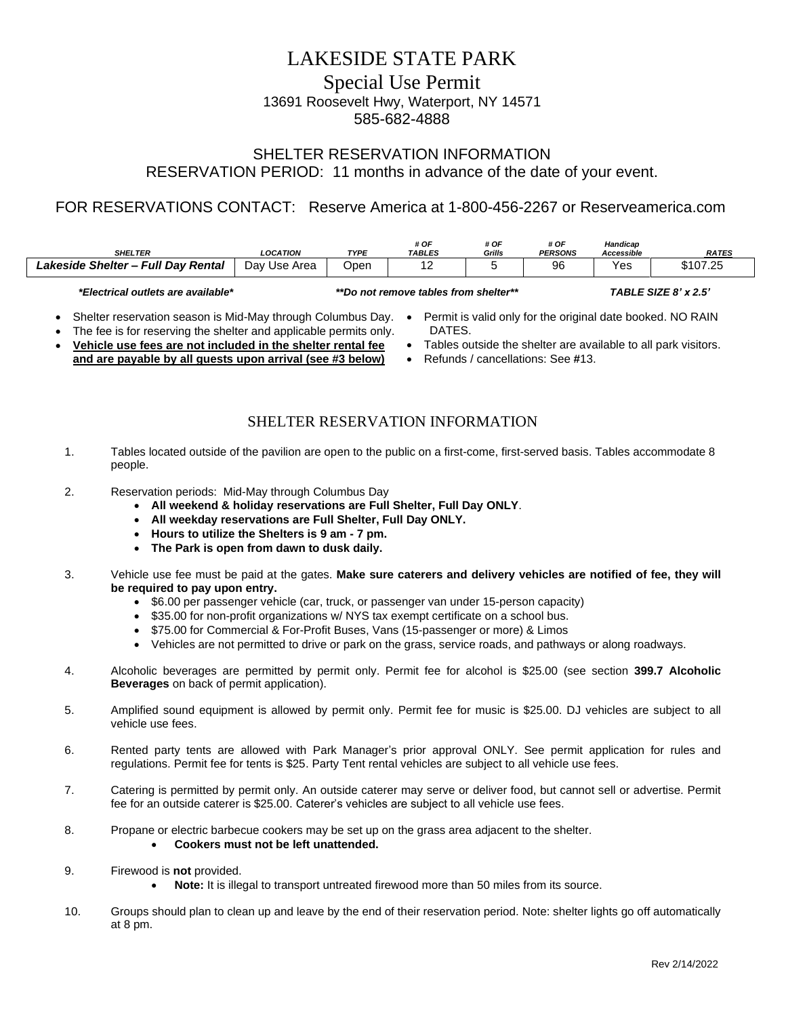# LAKESIDE STATE PARK Special Use Permit 13691 Roosevelt Hwy, Waterport, NY 14571

585-682-4888

### SHELTER RESERVATION INFORMATION RESERVATION PERIOD: 11 months in advance of the date of your event.

## FOR RESERVATIONS CONTACT: Reserve America at 1-800-456-2267 or Reserveamerica.com

| <b>SHELTER</b>                                                                                                            | <b>LOCATION</b> | <b>TYPE</b> | # OF<br><b>TABLES</b>                 | # OF<br>Grills | # OF<br><b>PERSONS</b> | Handicap<br>Accessible | <b>RATES</b> |
|---------------------------------------------------------------------------------------------------------------------------|-----------------|-------------|---------------------------------------|----------------|------------------------|------------------------|--------------|
| Lakeside Shelter - Full Day Rental                                                                                        | Day Use Area    | .<br>Open   | 12                                    |                | 96                     | Yes                    | \$107.25     |
| *Electrical outlets are available*                                                                                        |                 |             | **Do not remove tables from shelter** |                |                        | TABLE SIZE 8' x 2.5'   |              |
| Permit is valid only for the original date booked. NO RAIN<br>Shelter reservation season is Mid-May through Columbus Day. |                 |             |                                       |                |                        |                        |              |

- 
- The fee is for reserving the shelter and applicable permits only.
- **Vehicle use fees are not included in the shelter rental fee and are payable by all guests upon arrival (see #3 below)**
- DATES.
- Tables outside the shelter are available to all park visitors.
- Refunds / cancellations: See **#**13.

### SHELTER RESERVATION INFORMATION

- 1. Tables located outside of the pavilion are open to the public on a first-come, first-served basis. Tables accommodate 8 people.
- 2. Reservation periods: Mid-May through Columbus Day
	- **All weekend & holiday reservations are Full Shelter, Full Day ONLY**.
	- **All weekday reservations are Full Shelter, Full Day ONLY.**
	- **Hours to utilize the Shelters is 9 am - 7 pm.**
	- **The Park is open from dawn to dusk daily.**
- 3. Vehicle use fee must be paid at the gates. **Make sure caterers and delivery vehicles are notified of fee, they will be required to pay upon entry.**
	- \$6.00 per passenger vehicle (car, truck, or passenger van under 15-person capacity)
	- \$35.00 for non-profit organizations w/ NYS tax exempt certificate on a school bus.
	- \$75.00 for Commercial & For-Profit Buses, Vans (15-passenger or more) & Limos
	- Vehicles are not permitted to drive or park on the grass, service roads, and pathways or along roadways.
- 4. Alcoholic beverages are permitted by permit only. Permit fee for alcohol is \$25.00 (see section **399.7 Alcoholic Beverages** on back of permit application).
- 5. Amplified sound equipment is allowed by permit only. Permit fee for music is \$25.00. DJ vehicles are subject to all vehicle use fees.
- 6. Rented party tents are allowed with Park Manager's prior approval ONLY. See permit application for rules and regulations. Permit fee for tents is \$25. Party Tent rental vehicles are subject to all vehicle use fees.
- 7. Catering is permitted by permit only. An outside caterer may serve or deliver food, but cannot sell or advertise. Permit fee for an outside caterer is \$25.00. Caterer's vehicles are subject to all vehicle use fees.
- 8. Propane or electric barbecue cookers may be set up on the grass area adjacent to the shelter.
	- **Cookers must not be left unattended.**
- 9. Firewood is **not** provided.
	- **Note:** It is illegal to transport untreated firewood more than 50 miles from its source.
- 10. Groups should plan to clean up and leave by the end of their reservation period. Note: shelter lights go off automatically at 8 pm.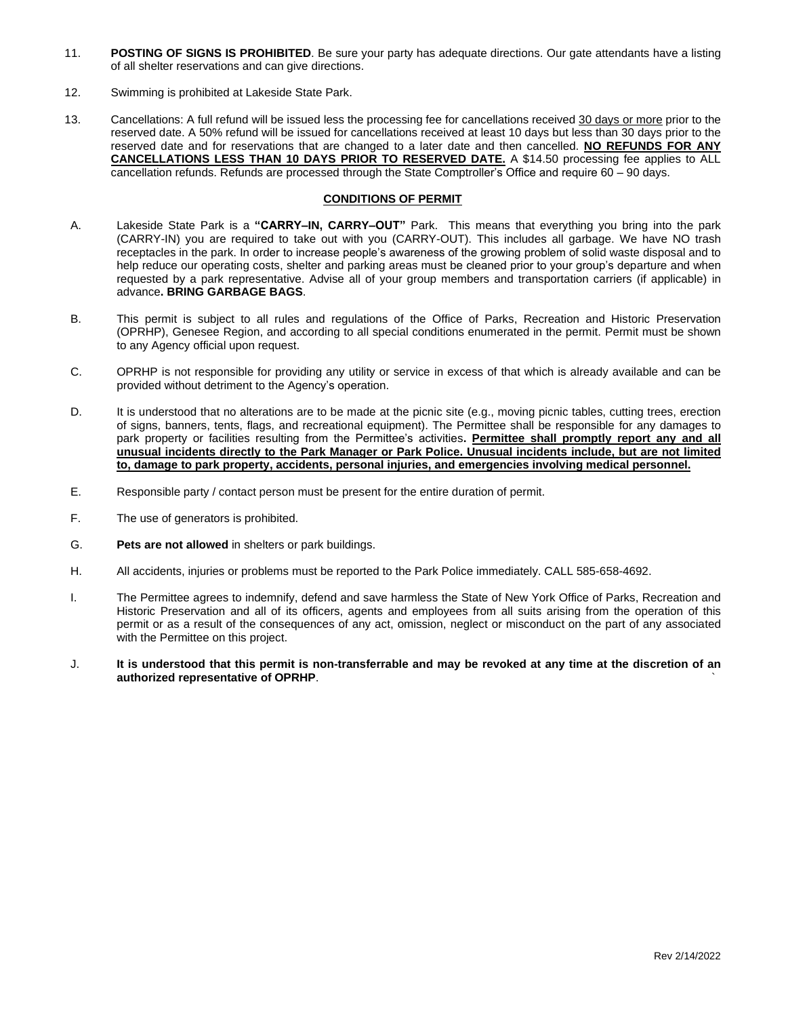- 11. **POSTING OF SIGNS IS PROHIBITED**. Be sure your party has adequate directions. Our gate attendants have a listing of all shelter reservations and can give directions.
- 12. Swimming is prohibited at Lakeside State Park.
- 13. Cancellations: A full refund will be issued less the processing fee for cancellations received 30 days or more prior to the reserved date. A 50% refund will be issued for cancellations received at least 10 days but less than 30 days prior to the reserved date and for reservations that are changed to a later date and then cancelled. **NO REFUNDS FOR ANY CANCELLATIONS LESS THAN 10 DAYS PRIOR TO RESERVED DATE.** A \$14.50 processing fee applies to ALL cancellation refunds. Refunds are processed through the State Comptroller's Office and require 60 – 90 days.

### **CONDITIONS OF PERMIT**

- A. Lakeside State Park is a **"CARRY–IN, CARRY–OUT"** Park. This means that everything you bring into the park (CARRY-IN) you are required to take out with you (CARRY-OUT). This includes all garbage. We have NO trash receptacles in the park. In order to increase people's awareness of the growing problem of solid waste disposal and to help reduce our operating costs, shelter and parking areas must be cleaned prior to your group's departure and when requested by a park representative. Advise all of your group members and transportation carriers (if applicable) in advance**. BRING GARBAGE BAGS**.
- B. This permit is subject to all rules and regulations of the Office of Parks, Recreation and Historic Preservation (OPRHP), Genesee Region, and according to all special conditions enumerated in the permit. Permit must be shown to any Agency official upon request.
- C. OPRHP is not responsible for providing any utility or service in excess of that which is already available and can be provided without detriment to the Agency's operation.
- D. It is understood that no alterations are to be made at the picnic site (e.g., moving picnic tables, cutting trees, erection of signs, banners, tents, flags, and recreational equipment). The Permittee shall be responsible for any damages to park property or facilities resulting from the Permittee's activities**. Permittee shall promptly report any and all unusual incidents directly to the Park Manager or Park Police. Unusual incidents include, but are not limited to, damage to park property, accidents, personal injuries, and emergencies involving medical personnel.**
- E. Responsible party / contact person must be present for the entire duration of permit.
- F. The use of generators is prohibited.
- G. **Pets are not allowed** in shelters or park buildings.
- H. All accidents, injuries or problems must be reported to the Park Police immediately. CALL 585-658-4692.
- I. The Permittee agrees to indemnify, defend and save harmless the State of New York Office of Parks, Recreation and Historic Preservation and all of its officers, agents and employees from all suits arising from the operation of this permit or as a result of the consequences of any act, omission, neglect or misconduct on the part of any associated with the Permittee on this project.
- J. **It is understood that this permit is non-transferrable and may be revoked at any time at the discretion of an authorized representative of OPRHP**. `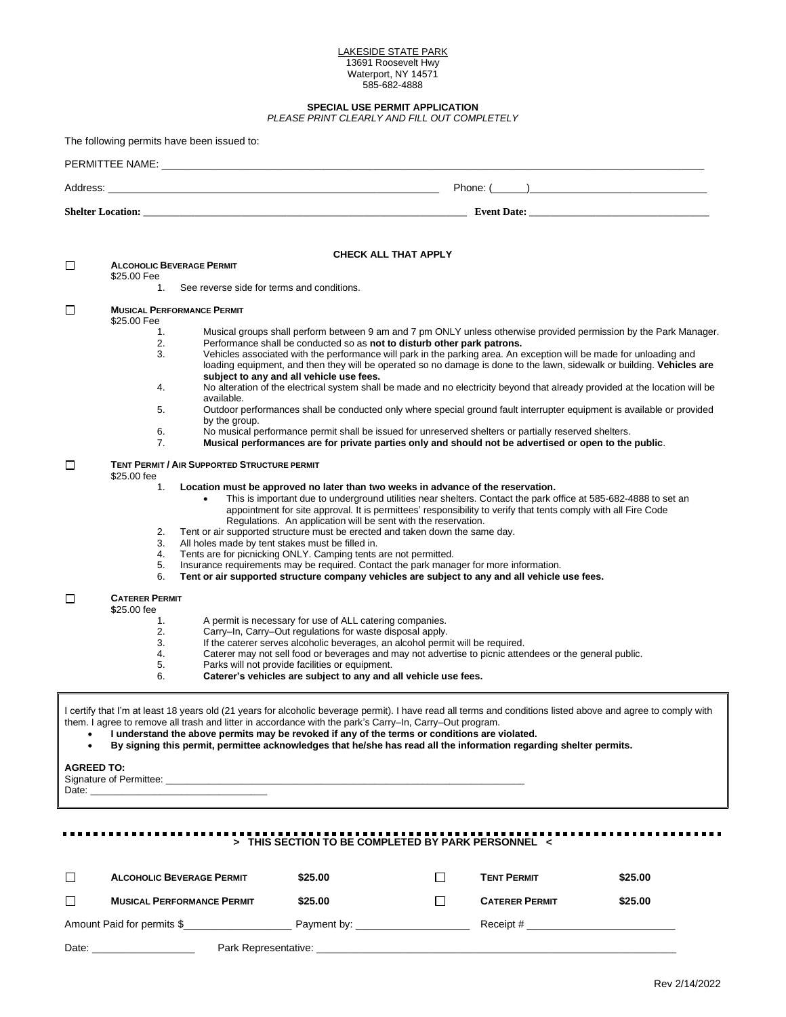#### LAKESIDE STATE PARK 13691 Roosevelt Hwy Waterport, NY 14571 585-682-4888

| SPECIAL USE PERMIT APPLICATION<br>PLEASE PRINT CLEARLY AND FILL OUT COMPLETELY |                                                                                                                                                                                                                                                                                                                                                                                                                                                                                                                                                                                                                                                                                                                                                                                                                                                                                                                                                                                                      |  |  |  |  |  |  |
|--------------------------------------------------------------------------------|------------------------------------------------------------------------------------------------------------------------------------------------------------------------------------------------------------------------------------------------------------------------------------------------------------------------------------------------------------------------------------------------------------------------------------------------------------------------------------------------------------------------------------------------------------------------------------------------------------------------------------------------------------------------------------------------------------------------------------------------------------------------------------------------------------------------------------------------------------------------------------------------------------------------------------------------------------------------------------------------------|--|--|--|--|--|--|
| The following permits have been issued to:                                     |                                                                                                                                                                                                                                                                                                                                                                                                                                                                                                                                                                                                                                                                                                                                                                                                                                                                                                                                                                                                      |  |  |  |  |  |  |
|                                                                                | PERMITTEE NAME: University of the contract of the contract of the contract of the contract of the contract of the contract of the contract of the contract of the contract of the contract of the contract of the contract of                                                                                                                                                                                                                                                                                                                                                                                                                                                                                                                                                                                                                                                                                                                                                                        |  |  |  |  |  |  |
|                                                                                |                                                                                                                                                                                                                                                                                                                                                                                                                                                                                                                                                                                                                                                                                                                                                                                                                                                                                                                                                                                                      |  |  |  |  |  |  |
|                                                                                |                                                                                                                                                                                                                                                                                                                                                                                                                                                                                                                                                                                                                                                                                                                                                                                                                                                                                                                                                                                                      |  |  |  |  |  |  |
|                                                                                |                                                                                                                                                                                                                                                                                                                                                                                                                                                                                                                                                                                                                                                                                                                                                                                                                                                                                                                                                                                                      |  |  |  |  |  |  |
| □<br>\$25.00 Fee                                                               | <b>CHECK ALL THAT APPLY</b><br><b>ALCOHOLIC BEVERAGE PERMIT</b>                                                                                                                                                                                                                                                                                                                                                                                                                                                                                                                                                                                                                                                                                                                                                                                                                                                                                                                                      |  |  |  |  |  |  |
|                                                                                | 1. See reverse side for terms and conditions.                                                                                                                                                                                                                                                                                                                                                                                                                                                                                                                                                                                                                                                                                                                                                                                                                                                                                                                                                        |  |  |  |  |  |  |
| □<br>\$25.00 Fee                                                               | <b>MUSICAL PERFORMANCE PERMIT</b>                                                                                                                                                                                                                                                                                                                                                                                                                                                                                                                                                                                                                                                                                                                                                                                                                                                                                                                                                                    |  |  |  |  |  |  |
| 1.<br>2.<br>3.<br>4.<br>5.<br>6.<br>7.                                         | Musical groups shall perform between 9 am and 7 pm ONLY unless otherwise provided permission by the Park Manager.<br>Performance shall be conducted so as not to disturb other park patrons.<br>Vehicles associated with the performance will park in the parking area. An exception will be made for unloading and<br>loading equipment, and then they will be operated so no damage is done to the lawn, sidewalk or building. Vehicles are<br>subject to any and all vehicle use fees.<br>No alteration of the electrical system shall be made and no electricity beyond that already provided at the location will be<br>available.<br>Outdoor performances shall be conducted only where special ground fault interrupter equipment is available or provided<br>by the group.<br>No musical performance permit shall be issued for unreserved shelters or partially reserved shelters.<br>Musical performances are for private parties only and should not be advertised or open to the public. |  |  |  |  |  |  |
| □<br>\$25.00 fee<br>1.<br>2.<br>3.<br>4.<br>5.<br>6.                           | <b>TENT PERMIT / AIR SUPPORTED STRUCTURE PERMIT</b><br>Location must be approved no later than two weeks in advance of the reservation.<br>This is important due to underground utilities near shelters. Contact the park office at 585-682-4888 to set an<br>$\bullet$<br>appointment for site approval. It is permittees' responsibility to verify that tents comply with all Fire Code<br>Regulations. An application will be sent with the reservation.<br>Tent or air supported structure must be erected and taken down the same day.<br>All holes made by tent stakes must be filled in.<br>Tents are for picnicking ONLY. Camping tents are not permitted.<br>Insurance requirements may be required. Contact the park manager for more information.<br>Tent or air supported structure company vehicles are subject to any and all vehicle use fees.                                                                                                                                        |  |  |  |  |  |  |
| □<br><b>CATERER PERMIT</b><br>\$25.00 fee<br>1.<br>2.<br>3.<br>4.<br>5.<br>6.  | A permit is necessary for use of ALL catering companies.<br>Carry-In, Carry-Out regulations for waste disposal apply.<br>If the caterer serves alcoholic beverages, an alcohol permit will be required.<br>Caterer may not sell food or beverages and may not advertise to picnic attendees or the general public.<br>Parks will not provide facilities or equipment.<br>Caterer's vehicles are subject to any and all vehicle use fees.                                                                                                                                                                                                                                                                                                                                                                                                                                                                                                                                                             |  |  |  |  |  |  |
| <b>AGREED TO:</b>                                                              | I certify that I'm at least 18 years old (21 years for alcoholic beverage permit). I have read all terms and conditions listed above and agree to comply with<br>them. I agree to remove all trash and litter in accordance with the park's Carry-In, Carry-Out program.<br>I understand the above permits may be revoked if any of the terms or conditions are violated.<br>By signing this permit, permittee acknowledges that he/she has read all the information regarding shelter permits.                                                                                                                                                                                                                                                                                                                                                                                                                                                                                                      |  |  |  |  |  |  |
|                                                                                | > THIS SECTION TO BE COMPLETED BY PARK PERSONNEL <                                                                                                                                                                                                                                                                                                                                                                                                                                                                                                                                                                                                                                                                                                                                                                                                                                                                                                                                                   |  |  |  |  |  |  |

|       | <b>ALCOHOLIC BEVERAGE PERMIT</b>  | \$25.00 | <b>TENT PERMIT</b>    | \$25.00                                                                                   |
|-------|-----------------------------------|---------|-----------------------|-------------------------------------------------------------------------------------------|
|       | <b>MUSICAL PERFORMANCE PERMIT</b> | \$25.00 | <b>CATERER PERMIT</b> | \$25.00                                                                                   |
|       | Amount Paid for permits \$        |         | Receipt #             | the control of the control of the control of the control of the control of the control of |
| Date: | Park Representative:              |         |                       |                                                                                           |